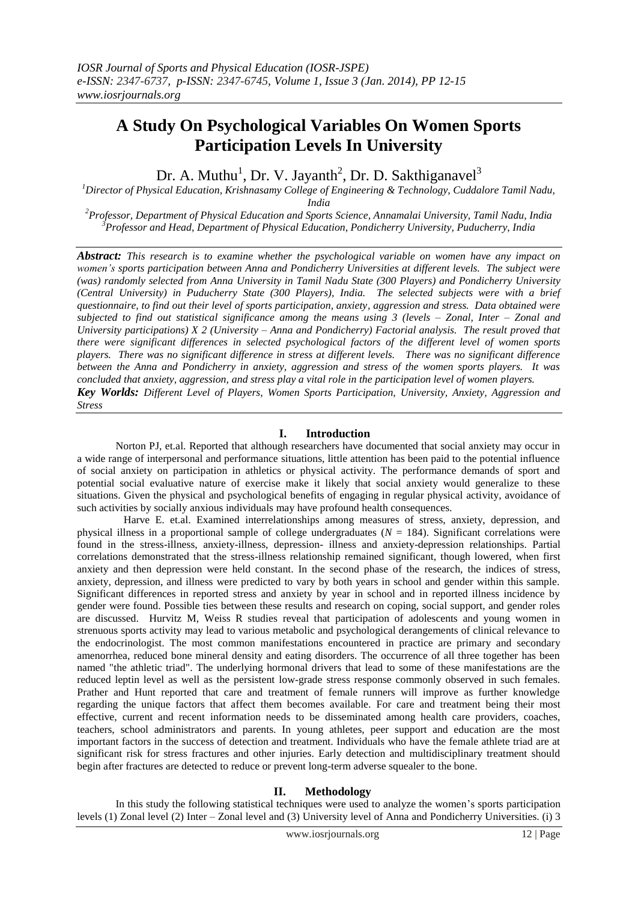# **A Study On Psychological Variables On Women Sports Participation Levels In University**

Dr. A. Muthu<sup>1</sup>, Dr. V. Jayanth<sup>2</sup>, Dr. D. Sakthiganavel<sup>3</sup>

*<sup>1</sup>Director of Physical Education, Krishnasamy College of Engineering & Technology, Cuddalore Tamil Nadu, India*

*<sup>2</sup>Professor, Department of Physical Education and Sports Science, Annamalai University, Tamil Nadu, India <sup>3</sup>Professor and Head, Department of Physical Education, Pondicherry University, Puducherry, India*

*Abstract: This research is to examine whether the psychological variable on women have any impact on women's sports participation between Anna and Pondicherry Universities at different levels. The subject were (was) randomly selected from Anna University in Tamil Nadu State (300 Players) and Pondicherry University (Central University) in Puducherry State (300 Players), India. The selected subjects were with a brief questionnaire, to find out their level of sports participation, anxiety, aggression and stress. Data obtained were subjected to find out statistical significance among the means using 3 (levels – Zonal, Inter – Zonal and University participations) X 2 (University – Anna and Pondicherry) Factorial analysis. The result proved that there were significant differences in selected psychological factors of the different level of women sports players. There was no significant difference in stress at different levels. There was no significant difference between the Anna and Pondicherry in anxiety, aggression and stress of the women sports players. It was concluded that anxiety, aggression, and stress play a vital role in the participation level of women players. Key Worlds: Different Level of Players, Women Sports Participation, University, Anxiety, Aggression and* 

*Stress*

# **I. Introduction**

 Norton PJ, et.al. Reported that although researchers have documented that social anxiety may occur in a wide range of interpersonal and performance situations, little attention has been paid to the potential influence of social anxiety on participation in athletics or physical activity. The performance demands of sport and potential social evaluative nature of exercise make it likely that social anxiety would generalize to these situations. Given the physical and psychological benefits of engaging in regular physical activity, avoidance of such activities by socially anxious individuals may have profound health consequences.

 Harve E. et.al. Examined interrelationships among measures of stress, anxiety, depression, and physical illness in a proportional sample of college undergraduates (*N* = 184). Significant correlations were found in the stress-illness, anxiety-illness, depression- illness and anxiety-depression relationships. Partial correlations demonstrated that the stress-illness relationship remained significant, though lowered, when first anxiety and then depression were held constant. In the second phase of the research, the indices of stress, anxiety, depression, and illness were predicted to vary by both years in school and gender within this sample. Significant differences in reported stress and anxiety by year in school and in reported illness incidence by gender were found. Possible ties between these results and research on coping, social support, and gender roles are discussed. Hurvitz M, Weiss R studies reveal that participation of adolescents and young women in strenuous sports activity may lead to various metabolic and psychological derangements of clinical relevance to the endocrinologist. The most common manifestations encountered in practice are primary and secondary amenorrhea, reduced bone mineral density and eating disorders. The occurrence of all three together has been named "the athletic triad". The underlying hormonal drivers that lead to some of these manifestations are the reduced leptin level as well as the persistent low-grade stress response commonly observed in such females. Prather and Hunt reported that care and treatment of female runners will improve as further knowledge regarding the unique factors that affect them becomes available. For care and treatment being their most effective, current and recent information needs to be disseminated among health care providers, coaches, teachers, school administrators and parents. In young athletes, peer support and education are the most important factors in the success of detection and treatment. Individuals who have the female athlete triad are at significant risk for stress fractures and other injuries. Early detection and multidisciplinary treatment should begin after fractures are detected to reduce or prevent long-term adverse squealer to the bone.

# **II. Methodology**

In this study the following statistical techniques were used to analyze the women's sports participation levels (1) Zonal level (2) Inter – Zonal level and (3) University level of Anna and Pondicherry Universities. (i) 3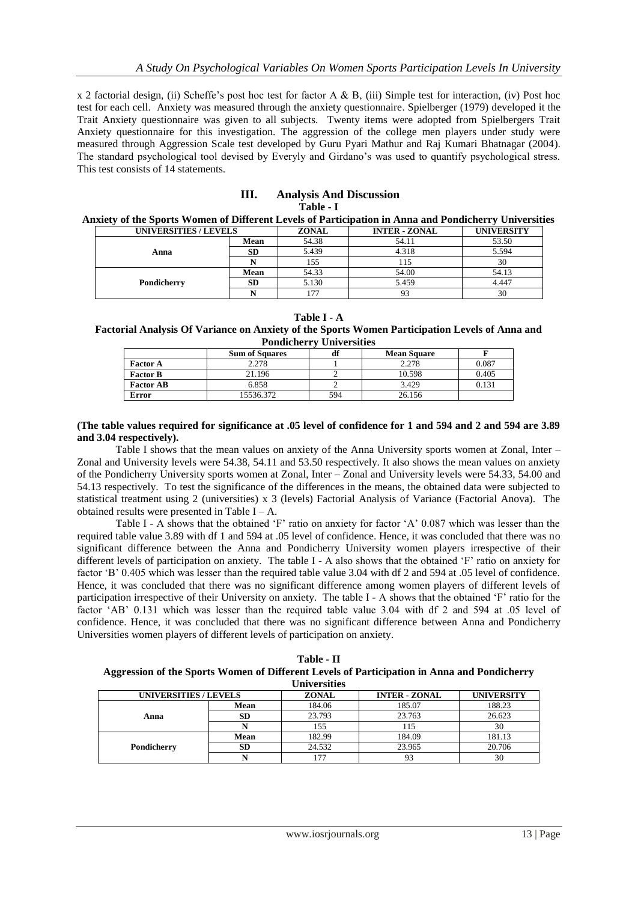x 2 factorial design, (ii) Scheffe's post hoc test for factor A & B, (iii) Simple test for interaction, (iv) Post hoc test for each cell. Anxiety was measured through the anxiety questionnaire. Spielberger (1979) developed it the Trait Anxiety questionnaire was given to all subjects. Twenty items were adopted from Spielbergers Trait Anxiety questionnaire for this investigation. The aggression of the college men players under study were measured through Aggression Scale test developed by Guru Pyari Mathur and Raj Kumari Bhatnagar (2004). The standard psychological tool devised by Everyly and Girdano's was used to quantify psychological stress. This test consists of 14 statements.

# **III. Analysis And Discussion Table - I**

## **Anxiety of the Sports Women of Different Levels of Participation in Anna and Pondicherry Universities**

| UNIVERSITIES / LEVELS |           | <b>ZONAL</b> | <b>INTER - ZONAL</b> | <b>UNIVERSITY</b> |
|-----------------------|-----------|--------------|----------------------|-------------------|
|                       | Mean      | 54.38        | 54.11                | 53.50             |
| Anna                  | <b>SD</b> | 5.439        | 4.318                | 5.594             |
|                       |           | 155          |                      | 30                |
|                       | Mean      | 54.33        | 54.00                | 54.13             |
| Pondicherry           | <b>SD</b> | 5.130        | 5.459                | 4.447             |
|                       |           | 177          |                      | 30                |

**Table I - A**

## **Factorial Analysis Of Variance on Anxiety of the Sports Women Participation Levels of Anna and Pondicherry Universities**

|                  | <b>Sum of Squares</b> | <b>16</b><br>dt | <b>Mean Square</b> |       |
|------------------|-----------------------|-----------------|--------------------|-------|
| <b>Factor A</b>  | 2.278                 |                 | 2.278              | 0.087 |
| <b>Factor B</b>  | 21.196                |                 | 10.598             | 0.405 |
| <b>Factor AB</b> | 6.858                 |                 | 3.429              | 0.131 |
| Error            | 15536.372             | 594             | 26.156             |       |

#### **(The table values required for significance at .05 level of confidence for 1 and 594 and 2 and 594 are 3.89 and 3.04 respectively).**

Table I shows that the mean values on anxiety of the Anna University sports women at Zonal, Inter – Zonal and University levels were 54.38, 54.11 and 53.50 respectively. It also shows the mean values on anxiety of the Pondicherry University sports women at Zonal, Inter – Zonal and University levels were 54.33, 54.00 and 54.13 respectively. To test the significance of the differences in the means, the obtained data were subjected to statistical treatment using 2 (universities) x 3 (levels) Factorial Analysis of Variance (Factorial Anova). The obtained results were presented in Table  $I - A$ .

Table I - A shows that the obtained 'F' ratio on anxiety for factor 'A' 0.087 which was lesser than the required table value 3.89 with df 1 and 594 at .05 level of confidence. Hence, it was concluded that there was no significant difference between the Anna and Pondicherry University women players irrespective of their different levels of participation on anxiety. The table I - A also shows that the obtained 'F' ratio on anxiety for factor 'B' 0.405 which was lesser than the required table value 3.04 with df 2 and 594 at .05 level of confidence. Hence, it was concluded that there was no significant difference among women players of different levels of participation irrespective of their University on anxiety. The table I - A shows that the obtained 'F' ratio for the factor 'AB' 0.131 which was lesser than the required table value 3.04 with df 2 and 594 at .05 level of confidence. Hence, it was concluded that there was no significant difference between Anna and Pondicherry Universities women players of different levels of participation on anxiety.

**Table - II Aggression of the Sports Women of Different Levels of Participation in Anna and Pondicherry Universities**

| <u>сли устрічно</u>   |           |                                                           |        |        |  |  |  |
|-----------------------|-----------|-----------------------------------------------------------|--------|--------|--|--|--|
| UNIVERSITIES / LEVELS |           | <b>INTER - ZONAL</b><br><b>UNIVERSITY</b><br><b>ZONAL</b> |        |        |  |  |  |
|                       | Mean      | 184.06                                                    | 185.07 | 188.23 |  |  |  |
| Anna                  | <b>SD</b> | 23.793                                                    | 23.763 | 26.623 |  |  |  |
|                       |           | 155                                                       | 115    | 30     |  |  |  |
|                       | Mean      | 182.99                                                    | 184.09 | 181.13 |  |  |  |
| Pondicherry           | <b>SD</b> | 24.532                                                    | 23.965 | 20.706 |  |  |  |
|                       |           |                                                           | 93     | 30     |  |  |  |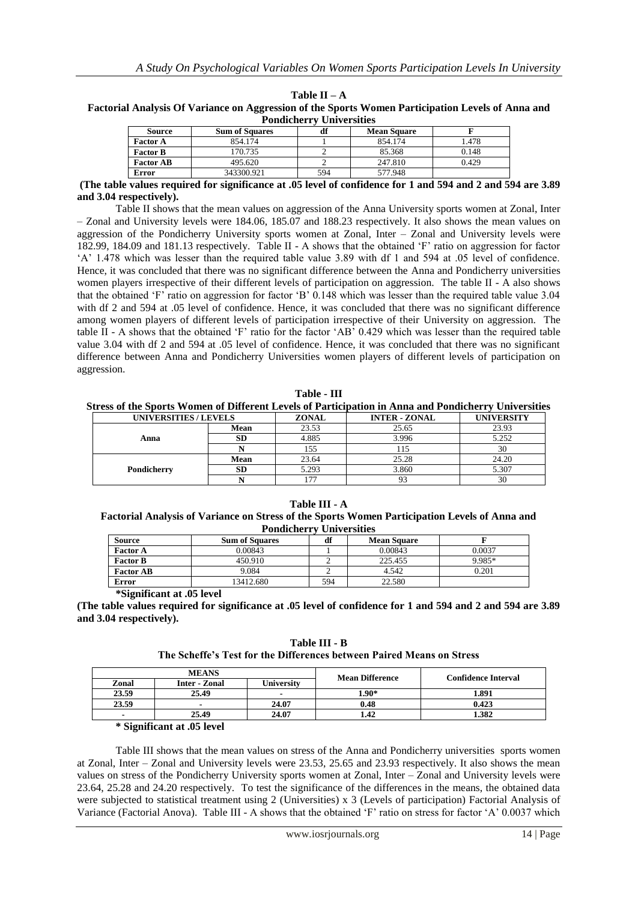| <b>Pondicherry Universities</b>                       |            |     |         |       |  |  |
|-------------------------------------------------------|------------|-----|---------|-------|--|--|
| <b>Sum of Squares</b><br><b>Mean Square</b><br>Source |            |     |         |       |  |  |
| <b>Factor A</b>                                       | 854.174    |     | 854.174 | 1.478 |  |  |
| <b>Factor B</b>                                       | 170.735    |     | 85.368  | 0.148 |  |  |
| <b>Factor AB</b>                                      | 495.620    |     | 247.810 | 0.429 |  |  |
| <b>Error</b>                                          | 343300.921 | 594 | 577.948 |       |  |  |

**Table II – A Factorial Analysis Of Variance on Aggression of the Sports Women Participation Levels of Anna and** 

#### **(The table values required for significance at .05 level of confidence for 1 and 594 and 2 and 594 are 3.89 and 3.04 respectively).**

Table II shows that the mean values on aggression of the Anna University sports women at Zonal, Inter – Zonal and University levels were 184.06, 185.07 and 188.23 respectively. It also shows the mean values on aggression of the Pondicherry University sports women at Zonal, Inter – Zonal and University levels were 182.99, 184.09 and 181.13 respectively. Table II - A shows that the obtained 'F' ratio on aggression for factor 'A' 1.478 which was lesser than the required table value 3.89 with df 1 and 594 at .05 level of confidence. Hence, it was concluded that there was no significant difference between the Anna and Pondicherry universities women players irrespective of their different levels of participation on aggression. The table II - A also shows that the obtained 'F' ratio on aggression for factor 'B' 0.148 which was lesser than the required table value 3.04 with df 2 and 594 at .05 level of confidence. Hence, it was concluded that there was no significant difference among women players of different levels of participation irrespective of their University on aggression. The table II - A shows that the obtained 'F' ratio for the factor 'AB' 0.429 which was lesser than the required table value 3.04 with df 2 and 594 at .05 level of confidence. Hence, it was concluded that there was no significant difference between Anna and Pondicherry Universities women players of different levels of participation on aggression.

| l'able |  |
|--------|--|
|--------|--|

| Stress of the Sports Women of Different Levels of Participation in Anna and Pondicherry Universities |           |       |                      |                   |  |  |
|------------------------------------------------------------------------------------------------------|-----------|-------|----------------------|-------------------|--|--|
| UNIVERSITIES / LEVELS                                                                                |           | ZONAL | <b>INTER - ZONAL</b> | <b>UNIVERSITY</b> |  |  |
|                                                                                                      | Mean      | 23.53 | 25.65                | 23.93             |  |  |
| Anna                                                                                                 | SD        | 4.885 | 3.996                | 5.252             |  |  |
|                                                                                                      |           | 155   | 115                  | 30                |  |  |
|                                                                                                      | Mean      | 23.64 | 25.28                | 24.20             |  |  |
| Pondicherry                                                                                          | <b>SD</b> | 5.293 | 3.860                | 5.307             |  |  |
|                                                                                                      |           | 177   |                      | 30                |  |  |

**Table III - A**

**Factorial Analysis of Variance on Stress of the Sports Women Participation Levels of Anna and Pondicherry Universities**

| <b>Source</b>    | <b>Sum of Squares</b> | df  | <b>Mean Square</b> |        |
|------------------|-----------------------|-----|--------------------|--------|
| <b>Factor A</b>  | 0.00843               |     | 0.00843            | 0.0037 |
| <b>Factor B</b>  | 450.910               |     | 225.455            | 9.985* |
| <b>Factor AB</b> | 9.084                 |     | 4.542              | 0.201  |
| Error            | 13412.680             | 594 | 22.580             |        |

**\*Significant at .05 level**

**(The table values required for significance at .05 level of confidence for 1 and 594 and 2 and 594 are 3.89 and 3.04 respectively).**

**Table III - B**

|  |  |  |  | The Scheffe's Test for the Differences between Paired Means on Stress |  |  |  |  |  |
|--|--|--|--|-----------------------------------------------------------------------|--|--|--|--|--|
|--|--|--|--|-----------------------------------------------------------------------|--|--|--|--|--|

|       | <b>MEANS</b>  |                          | <b>Mean Difference</b> | <b>Confidence Interval</b> |  |
|-------|---------------|--------------------------|------------------------|----------------------------|--|
| Zonal | Inter - Zonal | University               |                        |                            |  |
| 23.59 | 25.49         | $\overline{\phantom{a}}$ | $1.90*$                | 1.891                      |  |
| 23.59 |               | 24.07                    | 0.48                   | 0.423                      |  |
|       | 25.49         | 24.07                    | .42                    | 1.382                      |  |

**\* Significant at .05 level**

Table III shows that the mean values on stress of the Anna and Pondicherry universities sports women at Zonal, Inter – Zonal and University levels were 23.53, 25.65 and 23.93 respectively. It also shows the mean values on stress of the Pondicherry University sports women at Zonal, Inter – Zonal and University levels were 23.64, 25.28 and 24.20 respectively. To test the significance of the differences in the means, the obtained data were subjected to statistical treatment using 2 (Universities) x 3 (Levels of participation) Factorial Analysis of Variance (Factorial Anova). Table III - A shows that the obtained 'F' ratio on stress for factor 'A' 0.0037 which